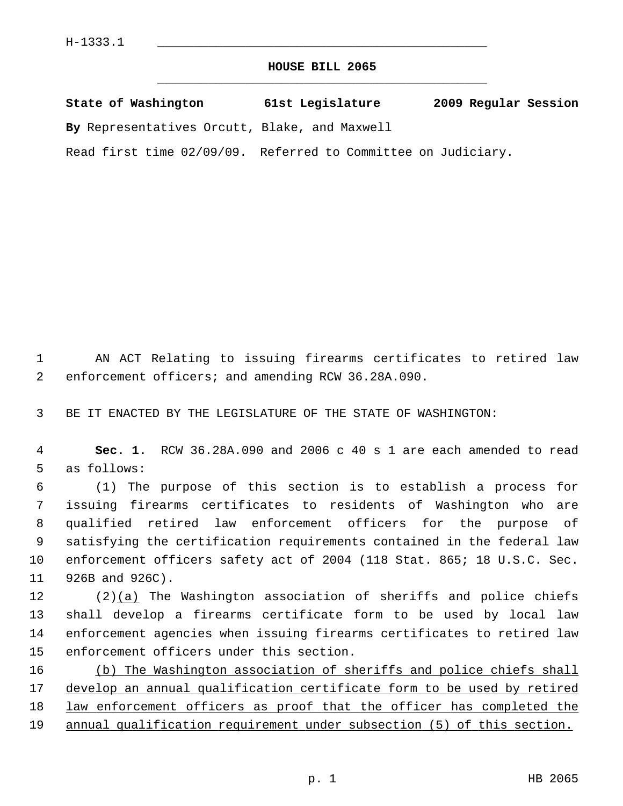## **HOUSE BILL 2065** \_\_\_\_\_\_\_\_\_\_\_\_\_\_\_\_\_\_\_\_\_\_\_\_\_\_\_\_\_\_\_\_\_\_\_\_\_\_\_\_\_\_\_\_\_

|  | State of Washington | 61st Legislature | 2009 Regular Session |  |
|--|---------------------|------------------|----------------------|--|
|  |                     |                  |                      |  |

**By** Representatives Orcutt, Blake, and Maxwell

Read first time 02/09/09. Referred to Committee on Judiciary.

 1 AN ACT Relating to issuing firearms certificates to retired law 2 enforcement officers; and amending RCW 36.28A.090.

3 BE IT ENACTED BY THE LEGISLATURE OF THE STATE OF WASHINGTON:

 4 **Sec. 1.** RCW 36.28A.090 and 2006 c 40 s 1 are each amended to read 5 as follows:

 6 (1) The purpose of this section is to establish a process for 7 issuing firearms certificates to residents of Washington who are 8 qualified retired law enforcement officers for the purpose of 9 satisfying the certification requirements contained in the federal law 10 enforcement officers safety act of 2004 (118 Stat. 865; 18 U.S.C. Sec. 11 926B and 926C).

12  $(2)(a)$  The Washington association of sheriffs and police chiefs 13 shall develop a firearms certificate form to be used by local law 14 enforcement agencies when issuing firearms certificates to retired law 15 enforcement officers under this section.

 (b) The Washington association of sheriffs and police chiefs shall develop an annual qualification certificate form to be used by retired 18 law enforcement officers as proof that the officer has completed the annual qualification requirement under subsection (5) of this section.